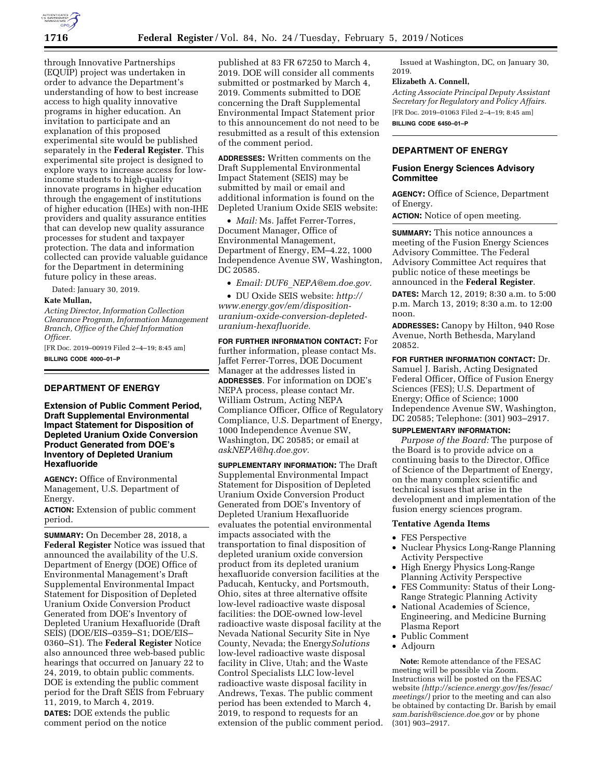

through Innovative Partnerships (EQUIP) project was undertaken in order to advance the Department's understanding of how to best increase access to high quality innovative programs in higher education. An invitation to participate and an explanation of this proposed experimental site would be published separately in the **Federal Register**. This experimental site project is designed to explore ways to increase access for lowincome students to high-quality innovate programs in higher education through the engagement of institutions of higher education (IHEs) with non-IHE providers and quality assurance entities that can develop new quality assurance processes for student and taxpayer protection. The data and information collected can provide valuable guidance for the Department in determining future policy in these areas.

Dated: January 30, 2019.

#### **Kate Mullan,**

*Acting Director, Information Collection Clearance Program, Information Management Branch, Office of the Chief Information Officer.* 

[FR Doc. 2019–00919 Filed 2–4–19; 8:45 am] **BILLING CODE 4000–01–P** 

## **DEPARTMENT OF ENERGY**

**Extension of Public Comment Period, Draft Supplemental Environmental Impact Statement for Disposition of Depleted Uranium Oxide Conversion Product Generated from DOE's Inventory of Depleted Uranium Hexafluoride** 

**AGENCY:** Office of Environmental Management, U.S. Department of Energy.

**ACTION:** Extension of public comment period.

**SUMMARY:** On December 28, 2018, a **Federal Register** Notice was issued that announced the availability of the U.S. Department of Energy (DOE) Office of Environmental Management's Draft Supplemental Environmental Impact Statement for Disposition of Depleted Uranium Oxide Conversion Product Generated from DOE's Inventory of Depleted Uranium Hexafluoride (Draft SEIS) (DOE/EIS–0359–S1; DOE/EIS– 0360–S1). The **Federal Register** Notice also announced three web-based public hearings that occurred on January 22 to 24, 2019, to obtain public comments. DOE is extending the public comment period for the Draft SEIS from February 11, 2019, to March 4, 2019. **DATES:** DOE extends the public comment period on the notice

published at 83 FR 67250 to March 4, 2019. DOE will consider all comments submitted or postmarked by March 4, 2019. Comments submitted to DOE concerning the Draft Supplemental Environmental Impact Statement prior to this announcement do not need to be resubmitted as a result of this extension of the comment period.

**ADDRESSES:** Written comments on the Draft Supplemental Environmental Impact Statement (SEIS) may be submitted by mail or email and additional information is found on the Depleted Uranium Oxide SEIS website:

• *Mail:* Ms. Jaffet Ferrer-Torres, Document Manager, Office of Environmental Management, Department of Energy, EM–4.22, 1000 Independence Avenue SW, Washington, DC 20585.

• *Email: DUF6*\_*[NEPA@em.doe.gov.](mailto:DUF6_NEPA@em.doe.gov)* 

• DU Oxide SEIS website: *[http://](http://www.energy.gov/em/disposition-uranium-oxide-conversion-depleted-uranium-hexafluoride) [www.energy.gov/em/disposition](http://www.energy.gov/em/disposition-uranium-oxide-conversion-depleted-uranium-hexafluoride)[uranium-oxide-conversion-depleted](http://www.energy.gov/em/disposition-uranium-oxide-conversion-depleted-uranium-hexafluoride)[uranium-hexafluoride.](http://www.energy.gov/em/disposition-uranium-oxide-conversion-depleted-uranium-hexafluoride)* 

**FOR FURTHER INFORMATION CONTACT:** For further information, please contact Ms. Jaffet Ferrer-Torres, DOE Document Manager at the addresses listed in **ADDRESSES**. For information on DOE's NEPA process, please contact Mr. William Ostrum, Acting NEPA Compliance Officer, Office of Regulatory Compliance, U.S. Department of Energy, 1000 Independence Avenue SW, Washington, DC 20585; or email at *[askNEPA@hq.doe.gov.](mailto:askNEPA@hq.doe.gov)* 

**SUPPLEMENTARY INFORMATION:** The Draft Supplemental Environmental Impact Statement for Disposition of Depleted Uranium Oxide Conversion Product Generated from DOE's Inventory of Depleted Uranium Hexafluoride evaluates the potential environmental impacts associated with the transportation to final disposition of depleted uranium oxide conversion product from its depleted uranium hexafluoride conversion facilities at the Paducah, Kentucky, and Portsmouth, Ohio, sites at three alternative offsite low-level radioactive waste disposal facilities: the DOE-owned low-level radioactive waste disposal facility at the Nevada National Security Site in Nye County, Nevada; the Energy*Solutions*  low-level radioactive waste disposal facility in Clive, Utah; and the Waste Control Specialists LLC low-level radioactive waste disposal facility in Andrews, Texas. The public comment period has been extended to March 4, 2019, to respond to requests for an extension of the public comment period.

Issued at Washington, DC, on January 30, 2019.

#### **Elizabeth A. Connell,**

*Acting Associate Principal Deputy Assistant Secretary for Regulatory and Policy Affairs.*  [FR Doc. 2019–01063 Filed 2–4–19; 8:45 am]

**BILLING CODE 6450–01–P** 

# **DEPARTMENT OF ENERGY**

## **Fusion Energy Sciences Advisory Committee**

**AGENCY:** Office of Science, Department of Energy.

**ACTION:** Notice of open meeting.

**SUMMARY:** This notice announces a meeting of the Fusion Energy Sciences Advisory Committee. The Federal Advisory Committee Act requires that public notice of these meetings be announced in the **Federal Register**.

**DATES:** March 12, 2019; 8:30 a.m. to 5:00 p.m. March 13, 2019; 8:30 a.m. to 12:00 noon.

**ADDRESSES:** Canopy by Hilton, 940 Rose Avenue, North Bethesda, Maryland 20852.

**FOR FURTHER INFORMATION CONTACT:** Dr. Samuel J. Barish, Acting Designated Federal Officer, Office of Fusion Energy Sciences (FES); U.S. Department of Energy; Office of Science; 1000 Independence Avenue SW, Washington, DC 20585; Telephone: (301) 903–2917.

## **SUPPLEMENTARY INFORMATION:**

*Purpose of the Board:* The purpose of the Board is to provide advice on a continuing basis to the Director, Office of Science of the Department of Energy, on the many complex scientific and technical issues that arise in the development and implementation of the fusion energy sciences program.

# **Tentative Agenda Items**

- FES Perspective
- Nuclear Physics Long-Range Planning Activity Perspective
- High Energy Physics Long-Range Planning Activity Perspective
- FES Community: Status of their Long-Range Strategic Planning Activity
- National Academies of Science, Engineering, and Medicine Burning Plasma Report
- Public Comment
- Adjourn

**Note:** Remote attendance of the FESAC meeting will be possible via Zoom. Instructions will be posted on the FESAC website *([http://science.energy.gov/fes/fesac/](http://science.energy.gov/fes/fesac/meetings/)  [meetings/\)](http://science.energy.gov/fes/fesac/meetings/)* prior to the meeting and can also be obtained by contacting Dr. Barish by email *[sam.barish@science.doe.gov](mailto:sam.barish@science.doe.gov)* or by phone (301) 903–2917.